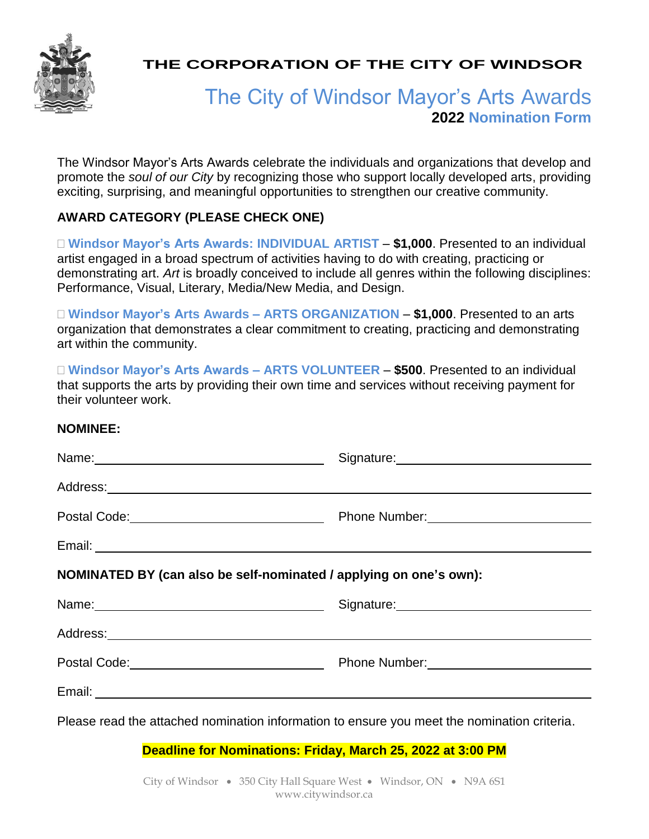

**THE CORPORATION OF THE CITY OF WINDSOR**

# The City of Windsor Mayor's Arts Awards **2022 Nomination Form**

The Windsor Mayor's Arts Awards celebrate the individuals and organizations that develop and promote the *soul of our City* by recognizing those who support locally developed arts, providing exciting, surprising, and meaningful opportunities to strengthen our creative community.

# **AWARD CATEGORY (PLEASE CHECK ONE)**

 **Windsor Mayor's Arts Awards: INDIVIDUAL ARTIST** *–* **\$1,000**. Presented to an individual artist engaged in a broad spectrum of activities having to do with creating, practicing or demonstrating art. *Art* is broadly conceived to include all genres within the following disciplines: Performance, Visual, Literary, Media/New Media, and Design.

 **Windsor Mayor's Arts Awards – ARTS ORGANIZATION** *–* **\$1,000**. Presented to an arts organization that demonstrates a clear commitment to creating, practicing and demonstrating art within the community.

 **Windsor Mayor's Arts Awards – ARTS VOLUNTEER** *–* **\$500**. Presented to an individual that supports the arts by providing their own time and services without receiving payment for their volunteer work.

#### **NOMINEE:**

| Name: 2008 2010 2021 2022 2023 2024 2022 2022 2023 2024 2022 2023 2024 2022 2023 2024 2022 2023 2024 2022 2023                                                                                                                | Signature: Management Contract of Signature: |
|-------------------------------------------------------------------------------------------------------------------------------------------------------------------------------------------------------------------------------|----------------------------------------------|
|                                                                                                                                                                                                                               |                                              |
|                                                                                                                                                                                                                               |                                              |
|                                                                                                                                                                                                                               |                                              |
| NOMINATED BY (can also be self-nominated / applying on one's own):                                                                                                                                                            |                                              |
| Name: Name: Name: Name: Name: Name: Name: Name: Name: Name: Name: Name: Name: Name: Name: Name: Name: Name: Name: Name: Name: Name: Name: Name: Name: Name: Name: Name: Name: Name: Name: Name: Name: Name: Name: Name: Name: |                                              |
|                                                                                                                                                                                                                               |                                              |
|                                                                                                                                                                                                                               |                                              |
|                                                                                                                                                                                                                               |                                              |
| Please read the attached nomination information to ensure you meet the nomination criteria.                                                                                                                                   |                                              |

**Deadline for Nominations: Friday, March 25, 2022 at 3:00 PM**